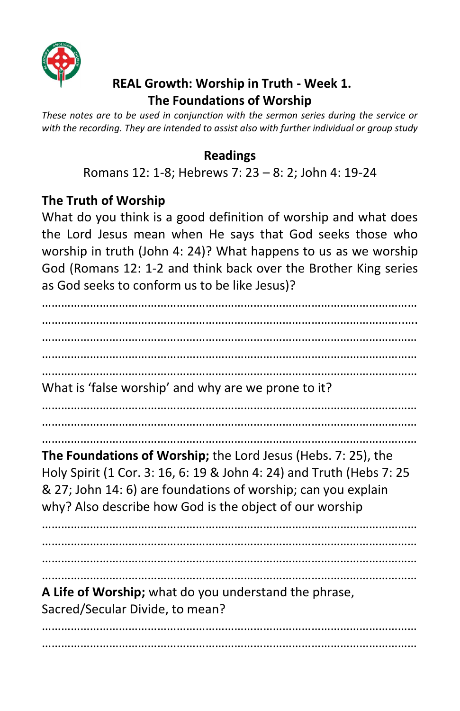

## **REAL Growth: Worship in Truth - Week 1. The Foundations of Worship**

*These notes are to be used in conjunction with the sermon series during the service or with the recording. They are intended to assist also with further individual or group study*

### **Readings**

Romans 12: 1-8; Hebrews 7: 23 – 8: 2; John 4: 19-24

## **The Truth of Worship**

What do you think is a good definition of worship and what does the Lord Jesus mean when He says that God seeks those who worship in truth (John 4: 24)? What happens to us as we worship God (Romans 12: 1-2 and think back over the Brother King series as God seeks to conform us to be like Jesus)?

……………………………………………………………………………………………………… …………………………………………………………………………………………………..…. ……………………………………………………………………………………………………… ……………………………………………………………………………………………………… ……………………………………………………………………………………………………… What is 'false worship' and why are we prone to it? ……………………………………………………………………………………………………… ……………………………………………………………………………………………………… ……………………………………………………………………………………………………… **The Foundations of Worship;** the Lord Jesus (Hebs. 7: 25), the Holy Spirit (1 Cor. 3: 16, 6: 19 & John 4: 24) and Truth (Hebs 7: 25 & 27; John 14: 6) are foundations of worship; can you explain why? Also describe how God is the object of our worship ……………………………………………………………………………………………………… ……………………………………………………………………………………………………… ……………………………………………………………………………………………………… ……………………………………………………………………………………………………… **A Life of Worship;** what do you understand the phrase, Sacred/Secular Divide, to mean? ……………………………………………………………………………………………………… ………………………………………………………………………………………………………